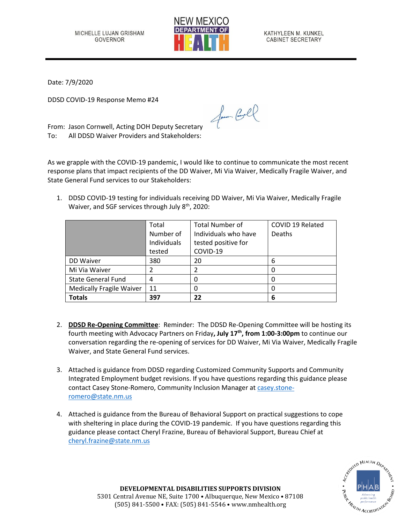

KATHYLEEN M. KUNKEL **CABINET SECRETARY** 

Date: 7/9/2020

DDSD COVID-19 Response Memo #24

From: Jason Cornwell, Acting DOH Deputy Secretary To: All DDSD Waiver Providers and Stakeholders:

As we grapple with the COVID-19 pandemic, I would like to continue to communicate the most recent response plans that impact recipients of the DD Waiver, Mi Via Waiver, Medically Fragile Waiver, and State General Fund services to our Stakeholders:

for Cool

1. DDSD COVID-19 testing for individuals receiving DD Waiver, Mi Via Waiver, Medically Fragile Waiver, and SGF services through July 8<sup>th</sup>, 2020:

|                                 | Total       | <b>Total Number of</b> | COVID 19 Related |
|---------------------------------|-------------|------------------------|------------------|
|                                 | Number of   | Individuals who have   | <b>Deaths</b>    |
|                                 | Individuals | tested positive for    |                  |
|                                 | tested      | COVID-19               |                  |
| DD Waiver                       | 380         | 20                     | 6                |
| Mi Via Waiver                   |             |                        |                  |
| <b>State General Fund</b>       | 4           |                        |                  |
| <b>Medically Fragile Waiver</b> | 11          |                        |                  |
| <b>Totals</b>                   | 397         | 22                     | 6                |

- 2. **DDSD Re-Opening Committee**: Reminder: The DDSD Re-Opening Committee will be hosting its fourth meeting with Advocacy Partners on Friday**, July 17 th , from 1:00-3:00pm** to continue our conversation regarding the re-opening of services for DD Waiver, Mi Via Waiver, Medically Fragile Waiver, and State General Fund services.
- 3. Attached is guidance from DDSD regarding Customized Community Supports and Community Integrated Employment budget revisions. If you have questions regarding this guidance please contact Casey Stone-Romero, Community Inclusion Manager at [casey.stone](mailto:casey.stone-romero@state.nm.us)[romero@state.nm.us](mailto:casey.stone-romero@state.nm.us)
- 4. Attached is guidance from the Bureau of Behavioral Support on practical suggestions to cope with sheltering in place during the COVID-19 pandemic. If you have questions regarding this guidance please contact Cheryl Frazine, Bureau of Behavioral Support, Bureau Chief at [cheryl.frazine@state.nm.us](mailto:cheryl.frazine@state.nm.us)